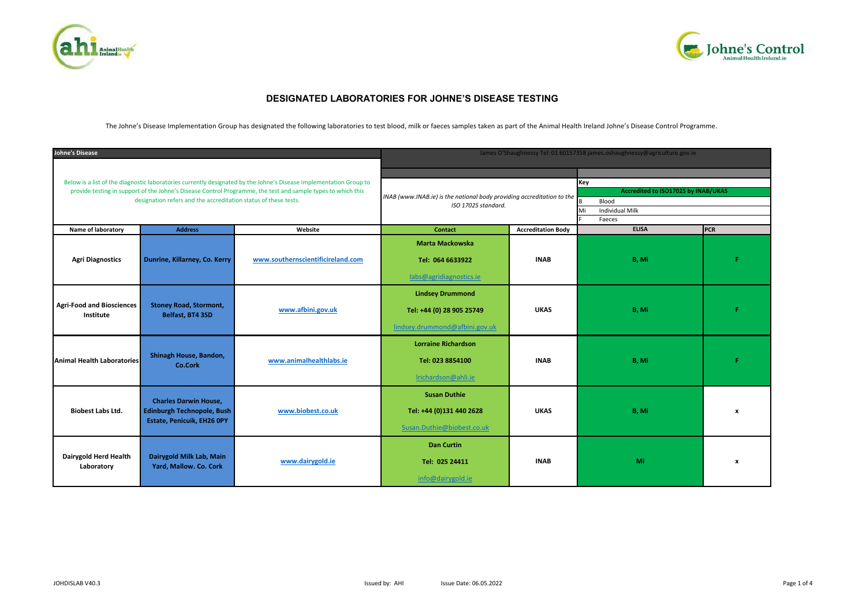



# **DESIGNATED LABORATORIES FOR JOHNE'S DISEASE TESTING**

The Johne's Disease Implementation Group has designated the following laboratories to test blood, milk or faeces samples taken as part of the Animal Health Ireland Johne's Disease Control Programme.

| <b>Johne's Disease</b>                                                                                                                                                                                                                                                                                |                                                                                          |                                   |                                                                                               |                           | James O'Shaughnessy Tel: 01 60157358 james.oshaughnessy@agriculture.gov.ie                    |                  |  |
|-------------------------------------------------------------------------------------------------------------------------------------------------------------------------------------------------------------------------------------------------------------------------------------------------------|------------------------------------------------------------------------------------------|-----------------------------------|-----------------------------------------------------------------------------------------------|---------------------------|-----------------------------------------------------------------------------------------------|------------------|--|
| Below is a list of the diagnostic laboratories currently designated by the Johne's Disease Implementation Group to<br>provide testing in support of the Johne's Disease Control Programme, the test and sample types to which this<br>designation refers and the accreditation status of these tests. |                                                                                          |                                   | INAB (www.INAB.ie) is the national body providing accreditation to the<br>ISO 17025 standard. |                           | Key<br>Accredited to ISO17025 by INAB/UKAS<br>Blood<br><b>Individual Milk</b><br>Mi<br>Faeces |                  |  |
| Name of laboratory                                                                                                                                                                                                                                                                                    | <b>Address</b>                                                                           | Website                           | <b>Contact</b>                                                                                | <b>Accreditation Body</b> | <b>ELISA</b>                                                                                  | <b>PCR</b>       |  |
| <b>Agri Diagnostics</b>                                                                                                                                                                                                                                                                               | Dunrine, Killarney, Co. Kerry                                                            | www.southernscientificireland.com | <b>Marta Mackowska</b><br>Tel: 064 6633922<br>labs@agridiagnostics.ie                         | <b>INAB</b>               | B, Mi                                                                                         |                  |  |
| <b>Agri-Food and Biosciences</b><br>Institute                                                                                                                                                                                                                                                         | <b>Stoney Road, Stormont,</b><br>Belfast, BT4 3SD                                        | www.afbini.gov.uk                 | <b>Lindsey Drummond</b><br>Tel: +44 (0) 28 905 25749<br>lindsey.drummond@afbini.gov.uk        | <b>UKAS</b>               | B, Mi                                                                                         |                  |  |
| <b>Animal Health Laboratories</b>                                                                                                                                                                                                                                                                     | Shinagh House, Bandon,<br>Co.Cork                                                        | www.animalhealthlabs.ie           | <b>Lorraine Richardson</b><br>Tel: 023 8854100<br>Irichardson@ahli.ie                         | <b>INAB</b>               | B, Mi                                                                                         |                  |  |
| <b>Biobest Labs Ltd.</b>                                                                                                                                                                                                                                                                              | <b>Charles Darwin House,</b><br>Edinburgh Technopole, Bush<br>Estate, Penicuik, EH26 OPY | www.biobest.co.uk                 | <b>Susan Duthie</b><br>Tel: +44 (0)131 440 2628<br>Susan.Duthie@biobest.co.uk                 | <b>UKAS</b>               | B, Mi                                                                                         | $\mathbf{x}$     |  |
| Dairygold Herd Health<br>Laboratory                                                                                                                                                                                                                                                                   | Dairygold Milk Lab, Main<br>Yard, Mallow. Co. Cork                                       | www.dairygold.ie                  | <b>Dan Curtin</b><br>Tel: 025 24411<br>info@dairygold.ie                                      | <b>INAB</b>               | Mi                                                                                            | $\boldsymbol{x}$ |  |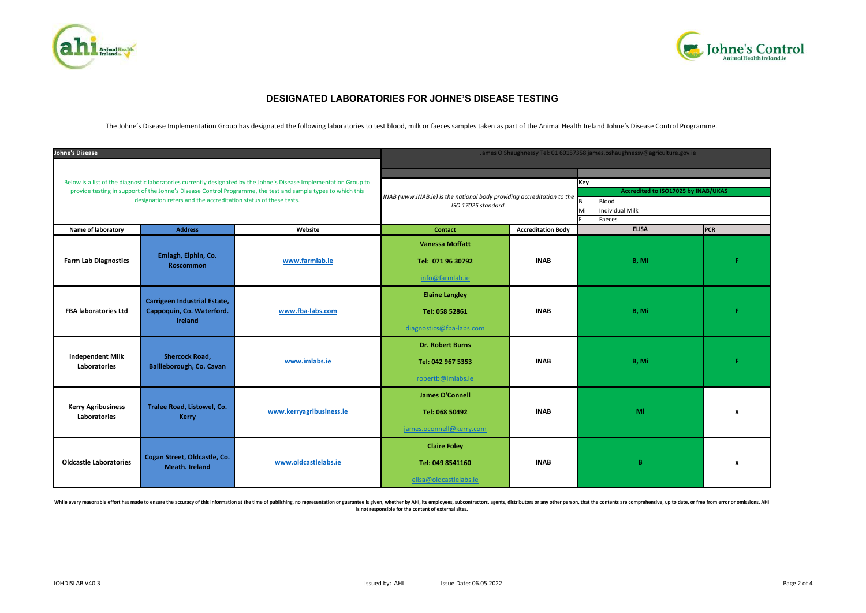



## **DESIGNATED LABORATORIES FOR JOHNE'S DISEASE TESTING**

The Johne's Disease Implementation Group has designated the following laboratories to test blood, milk or faeces samples taken as part of the Animal Health Ireland Johne's Disease Control Programme.

| <b>Johne's Disease</b>                                                                                                                                                                                                                                                                                |                                                                             |                          |                                                                                               |                           | James O'Shaughnessy Tel: 01 60157358 james.oshaughnessy@agriculture.gov.ie                    |                           |  |
|-------------------------------------------------------------------------------------------------------------------------------------------------------------------------------------------------------------------------------------------------------------------------------------------------------|-----------------------------------------------------------------------------|--------------------------|-----------------------------------------------------------------------------------------------|---------------------------|-----------------------------------------------------------------------------------------------|---------------------------|--|
| Below is a list of the diagnostic laboratories currently designated by the Johne's Disease Implementation Group to<br>provide testing in support of the Johne's Disease Control Programme, the test and sample types to which this<br>designation refers and the accreditation status of these tests. |                                                                             |                          | INAB (www.INAB.ie) is the national body providing accreditation to the<br>ISO 17025 standard. |                           | Key<br>Accredited to ISO17025 by INAB/UKAS<br>Blood<br><b>Individual Milk</b><br>Mi<br>Faeces |                           |  |
| Name of laboratory                                                                                                                                                                                                                                                                                    | <b>Address</b>                                                              | Website                  | <b>Contact</b>                                                                                | <b>Accreditation Body</b> | <b>ELISA</b>                                                                                  | PCR                       |  |
| <b>Farm Lab Diagnostics</b>                                                                                                                                                                                                                                                                           | Emlagh, Elphin, Co.<br><b>Roscommon</b>                                     | www.farmlab.ie           | <b>Vanessa Moffatt</b><br>Tel: 071 96 30792<br>info@farmlab.ie                                | <b>INAB</b>               | B, Mi                                                                                         |                           |  |
| <b>FBA laboratories Ltd</b>                                                                                                                                                                                                                                                                           | Carrigeen Industrial Estate,<br>Cappoquin, Co. Waterford.<br><b>Ireland</b> | www.fba-labs.com         | <b>Elaine Langley</b><br>Tel: 058 52861<br>diagnostics@fba-labs.com                           | <b>INAB</b>               | B, Mi                                                                                         |                           |  |
| <b>Independent Milk</b><br>Laboratories                                                                                                                                                                                                                                                               | <b>Shercock Road,</b><br>Bailieborough, Co. Cavan                           | www.imlabs.ie            | <b>Dr. Robert Burns</b><br>Tel: 042 967 5353<br>robertb@imlabs.ie                             | <b>INAB</b>               | B, Mi                                                                                         | Е                         |  |
| <b>Kerry Agribusiness</b><br>Laboratories                                                                                                                                                                                                                                                             | Tralee Road, Listowel, Co.<br><b>Kerry</b>                                  | www.kerryagribusiness.ie | <b>James O'Connell</b><br>Tel: 068 50492<br>james.oconnell@kerry.com                          | <b>INAB</b>               | Mi                                                                                            | $\mathbf{x}$              |  |
| <b>Oldcastle Laboratories</b>                                                                                                                                                                                                                                                                         | Cogan Street, Oldcastle, Co.<br>Meath. Ireland                              | www.oldcastlelabs.ie     | <b>Claire Foley</b><br>Tel: 049 8541160<br>elisa@oldcastlelabs.ie                             | <b>INAB</b>               | B                                                                                             | $\boldsymbol{\mathsf{x}}$ |  |

While every reasonable effort has made to ensure the accuracy of this information at the time of publishing, no representation or guarantee is given, whether by AHI, its employees, subcontractors, agents, distributors or a **is not responsible for the content of external sites.**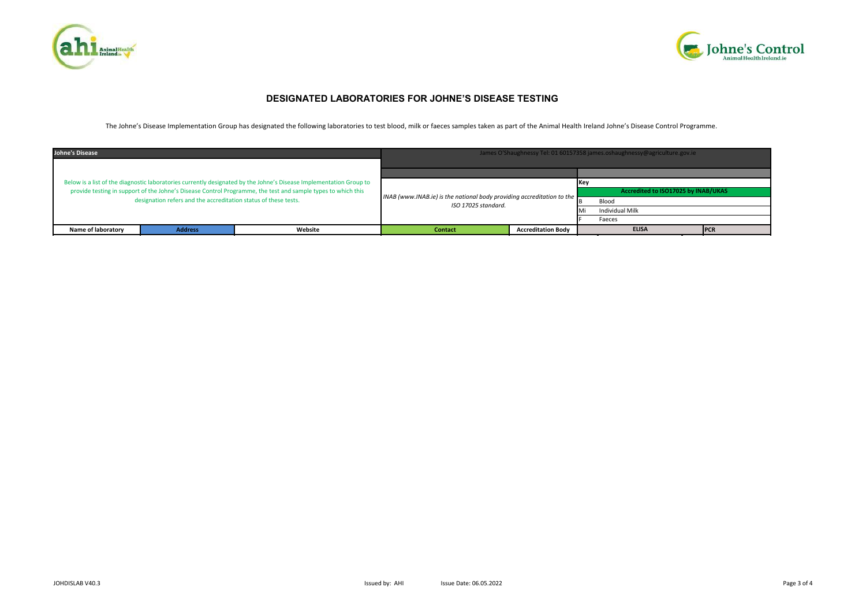



## **DESIGNATED LABORATORIES FOR JOHNE'S DISEASE TESTING**

The Johne's Disease Implementation Group has designated the following laboratories to test blood, milk or faeces samples taken as part of the Animal Health Ireland Johne's Disease Control Programme.

| <b>Johne's Disease</b><br>Below is a list of the diagnostic laboratories currently designated by the Johne's Disease Implementation Group to<br>provide testing in support of the Johne's Disease Control Programme, the test and sample types to which this<br>designation refers and the accreditation status of these tests. |                |         | James O'Shaughnessy Tel: 01 60157358 james.oshaughnessy@agriculture.gov.ie                    |                           |                                     |              |     |  |
|---------------------------------------------------------------------------------------------------------------------------------------------------------------------------------------------------------------------------------------------------------------------------------------------------------------------------------|----------------|---------|-----------------------------------------------------------------------------------------------|---------------------------|-------------------------------------|--------------|-----|--|
|                                                                                                                                                                                                                                                                                                                                 |                |         |                                                                                               |                           |                                     |              |     |  |
|                                                                                                                                                                                                                                                                                                                                 |                |         | INAB (www.INAB.ie) is the national body providing accreditation to the<br>ISO 17025 standard. |                           | Accredited to ISO17025 by INAB/UKAS |              |     |  |
|                                                                                                                                                                                                                                                                                                                                 |                |         |                                                                                               |                           | Blood                               |              |     |  |
|                                                                                                                                                                                                                                                                                                                                 |                |         |                                                                                               |                           | Individual Milk                     |              |     |  |
|                                                                                                                                                                                                                                                                                                                                 |                |         |                                                                                               |                           | Faeces                              |              |     |  |
| Name of laboratory                                                                                                                                                                                                                                                                                                              | <b>Address</b> | Website | <b>Contact</b>                                                                                | <b>Accreditation Body</b> |                                     | <b>ELISA</b> | PCR |  |